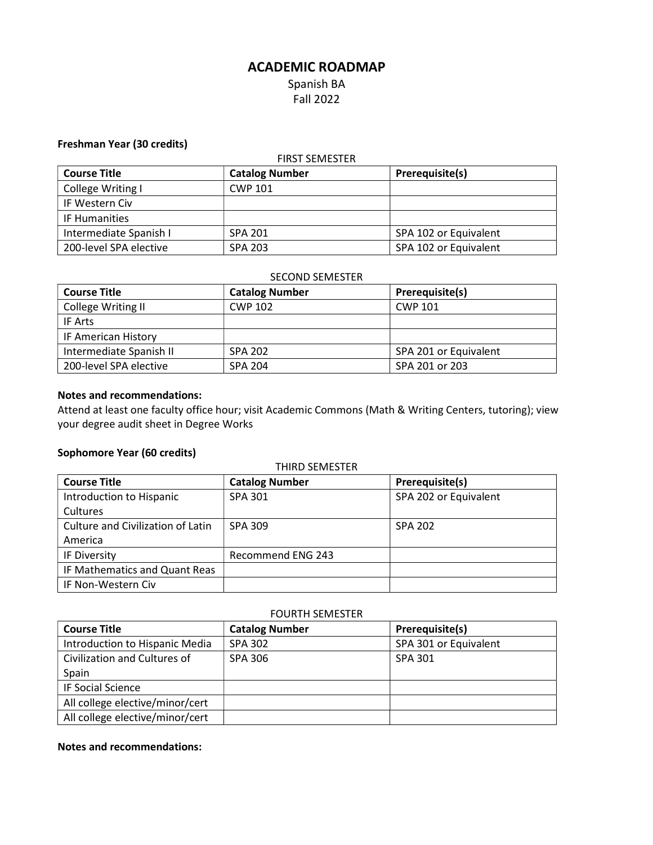# ACADEMIC ROADMAP Spanish BA Fall 2022

### Freshman Year (30 credits)

| <b>FIRST SEMESTER</b>  |                       |                       |
|------------------------|-----------------------|-----------------------|
| <b>Course Title</b>    | <b>Catalog Number</b> | Prerequisite(s)       |
| College Writing I      | <b>CWP 101</b>        |                       |
| IF Western Civ         |                       |                       |
| IF Humanities          |                       |                       |
| Intermediate Spanish I | <b>SPA 201</b>        | SPA 102 or Equivalent |
| 200-level SPA elective | <b>SPA 203</b>        | SPA 102 or Equivalent |

### SECOND SEMESTER

| <b>Course Title</b>     | <b>Catalog Number</b> | Prerequisite(s)       |
|-------------------------|-----------------------|-----------------------|
| College Writing II      | CWP 102               | <b>CWP 101</b>        |
| IF Arts                 |                       |                       |
| IF American History     |                       |                       |
| Intermediate Spanish II | <b>SPA 202</b>        | SPA 201 or Equivalent |
| 200-level SPA elective  | SPA 204               | SPA 201 or 203        |

#### Notes and recommendations:

Attend at least one faculty office hour; visit Academic Commons (Math & Writing Centers, tutoring); view your degree audit sheet in Degree Works

## Sophomore Year (60 credits)

| <b>THIRD SEMESTER</b>             |                       |                       |
|-----------------------------------|-----------------------|-----------------------|
| <b>Course Title</b>               | <b>Catalog Number</b> | Prerequisite(s)       |
| Introduction to Hispanic          | <b>SPA 301</b>        | SPA 202 or Equivalent |
| Cultures                          |                       |                       |
| Culture and Civilization of Latin | <b>SPA 309</b>        | <b>SPA 202</b>        |
| America                           |                       |                       |
| IF Diversity                      | Recommend ENG 243     |                       |
| IF Mathematics and Quant Reas     |                       |                       |
| IF Non-Western Civ                |                       |                       |

#### FOURTH SEMESTER

| <b>Course Title</b>             | <b>Catalog Number</b> | Prerequisite(s)       |
|---------------------------------|-----------------------|-----------------------|
| Introduction to Hispanic Media  | SPA 302               | SPA 301 or Equivalent |
| Civilization and Cultures of    | SPA 306               | SPA 301               |
| Spain                           |                       |                       |
| <b>IF Social Science</b>        |                       |                       |
| All college elective/minor/cert |                       |                       |
| All college elective/minor/cert |                       |                       |

#### Notes and recommendations: